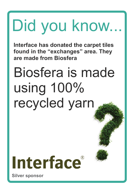**Interface has donated the carpet tiles found in the "exchanges" area. They are made from Biosfera**

#### Biosfera is made using 100% recycled yarn

### Interface®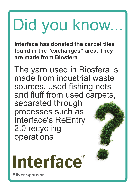**Interface has donated the carpet tiles found in the "exchanges" area. They are made from Biosfera**

The yarn used in Biosfera is made from industrial waste sources, used fishing nets and fluff from used carpets, separated through processes such as Interface's ReEntry 2.0 recycling operations

Interface®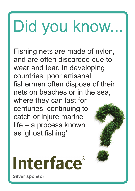Fishing nets are made of nylon, and are often discarded due to wear and tear. In developing countries, poor artisanal fishermen often dispose of their nets on beaches or in the sea, where they can last for centuries, continuing to catch or injure marine life – a process known as 'ghost fishing'

Interface®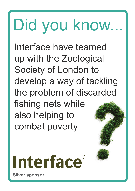Interface have teamed up with the Zoological Society of London to develop a way of tackling the problem of discarded fishing nets while also helping to combat poverty

# Interface®